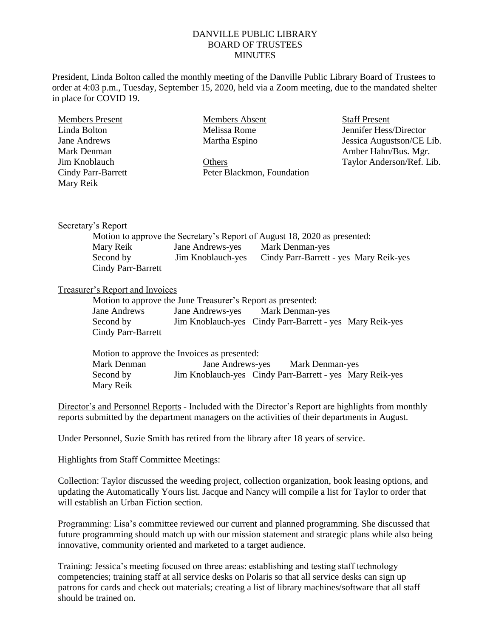## DANVILLE PUBLIC LIBRARY BOARD OF TRUSTEES **MINUTES**

President, Linda Bolton called the monthly meeting of the Danville Public Library Board of Trustees to order at 4:03 p.m., Tuesday, September 15, 2020, held via a Zoom meeting, due to the mandated shelter in place for COVID 19.

| <b>Members Present</b>    | <b>Members Absent</b>      | <b>Staff Present</b>      |
|---------------------------|----------------------------|---------------------------|
| Linda Bolton              | Melissa Rome               | Jennifer Hess/Director    |
| Jane Andrews              | Martha Espino              | Jessica Augustson/CE Lib. |
| Mark Denman               |                            | Amber Hahn/Bus. Mgr.      |
| Jim Knoblauch             | Others                     | Taylor Anderson/Ref. Lib. |
| <b>Cindy Parr-Barrett</b> | Peter Blackmon, Foundation |                           |
| Mary Reik                 |                            |                           |

### Secretary's Report

| Motion to approve the Secretary's Report of August 18, 2020 as presented: |                   |                                        |  |  |  |
|---------------------------------------------------------------------------|-------------------|----------------------------------------|--|--|--|
| Mary Reik                                                                 | Jane Andrews-yes  | Mark Denman-yes                        |  |  |  |
| Second by                                                                 | Jim Knoblauch-yes | Cindy Parr-Barrett - yes Mary Reik-yes |  |  |  |
| Cindy Parr-Barrett                                                        |                   |                                        |  |  |  |

## Treasurer's Report and Invoices

| Motion to approve the June Treasurer's Report as presented: |  |                                                          |  |  |  |  |
|-------------------------------------------------------------|--|----------------------------------------------------------|--|--|--|--|
| Jane Andrews                                                |  | Jane Andrews-yes Mark Denman-yes                         |  |  |  |  |
| Second by                                                   |  | Jim Knoblauch-yes Cindy Parr-Barrett - yes Mary Reik-yes |  |  |  |  |
| Cindy Parr-Barrett                                          |  |                                                          |  |  |  |  |

|             | Motion to approve the Invoices as presented:             |                 |  |  |
|-------------|----------------------------------------------------------|-----------------|--|--|
| Mark Denman | <b>Jane Andrews-yes</b>                                  | Mark Denman-yes |  |  |
| Second by   | Jim Knoblauch-yes Cindy Parr-Barrett - yes Mary Reik-yes |                 |  |  |
| Mary Reik   |                                                          |                 |  |  |

Director's and Personnel Reports - Included with the Director's Report are highlights from monthly reports submitted by the department managers on the activities of their departments in August.

Under Personnel, Suzie Smith has retired from the library after 18 years of service.

Highlights from Staff Committee Meetings:

Collection: Taylor discussed the weeding project, collection organization, book leasing options, and updating the Automatically Yours list. Jacque and Nancy will compile a list for Taylor to order that will establish an Urban Fiction section.

Programming: Lisa's committee reviewed our current and planned programming. She discussed that future programming should match up with our mission statement and strategic plans while also being innovative, community oriented and marketed to a target audience.

Training: Jessica's meeting focused on three areas: establishing and testing staff technology competencies; training staff at all service desks on Polaris so that all service desks can sign up patrons for cards and check out materials; creating a list of library machines/software that all staff should be trained on.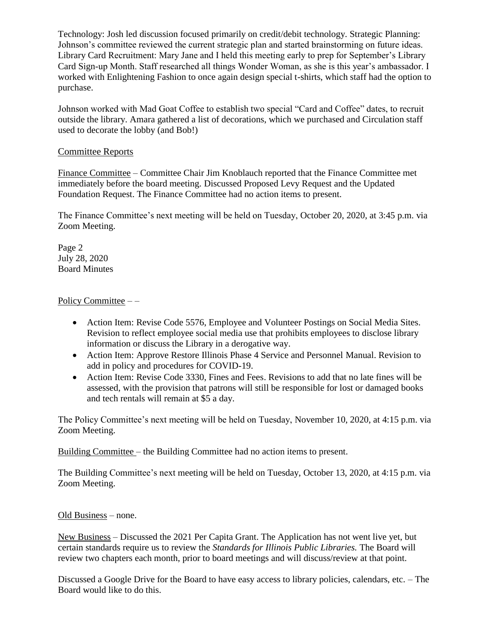Technology: Josh led discussion focused primarily on credit/debit technology. Strategic Planning: Johnson's committee reviewed the current strategic plan and started brainstorming on future ideas. Library Card Recruitment: Mary Jane and I held this meeting early to prep for September's Library Card Sign-up Month. Staff researched all things Wonder Woman, as she is this year's ambassador. I worked with Enlightening Fashion to once again design special t-shirts, which staff had the option to purchase.

Johnson worked with Mad Goat Coffee to establish two special "Card and Coffee" dates, to recruit outside the library. Amara gathered a list of decorations, which we purchased and Circulation staff used to decorate the lobby (and Bob!)

# Committee Reports

Finance Committee – Committee Chair Jim Knoblauch reported that the Finance Committee met immediately before the board meeting. Discussed Proposed Levy Request and the Updated Foundation Request. The Finance Committee had no action items to present.

The Finance Committee's next meeting will be held on Tuesday, October 20, 2020, at 3:45 p.m. via Zoom Meeting.

Page 2 July 28, 2020 Board Minutes

## Policy Committee --

- Action Item: Revise Code 5576, Employee and Volunteer Postings on Social Media Sites. Revision to reflect employee social media use that prohibits employees to disclose library information or discuss the Library in a derogative way.
- Action Item: Approve Restore Illinois Phase 4 Service and Personnel Manual. Revision to add in policy and procedures for COVID-19.
- Action Item: Revise Code 3330, Fines and Fees. Revisions to add that no late fines will be assessed, with the provision that patrons will still be responsible for lost or damaged books and tech rentals will remain at \$5 a day.

The Policy Committee's next meeting will be held on Tuesday, November 10, 2020, at 4:15 p.m. via Zoom Meeting.

Building Committee – the Building Committee had no action items to present.

The Building Committee's next meeting will be held on Tuesday, October 13, 2020, at 4:15 p.m. via Zoom Meeting.

### Old Business – none.

New Business – Discussed the 2021 Per Capita Grant. The Application has not went live yet, but certain standards require us to review the *Standards for Illinois Public Libraries.* The Board will review two chapters each month, prior to board meetings and will discuss/review at that point.

Discussed a Google Drive for the Board to have easy access to library policies, calendars, etc. – The Board would like to do this.